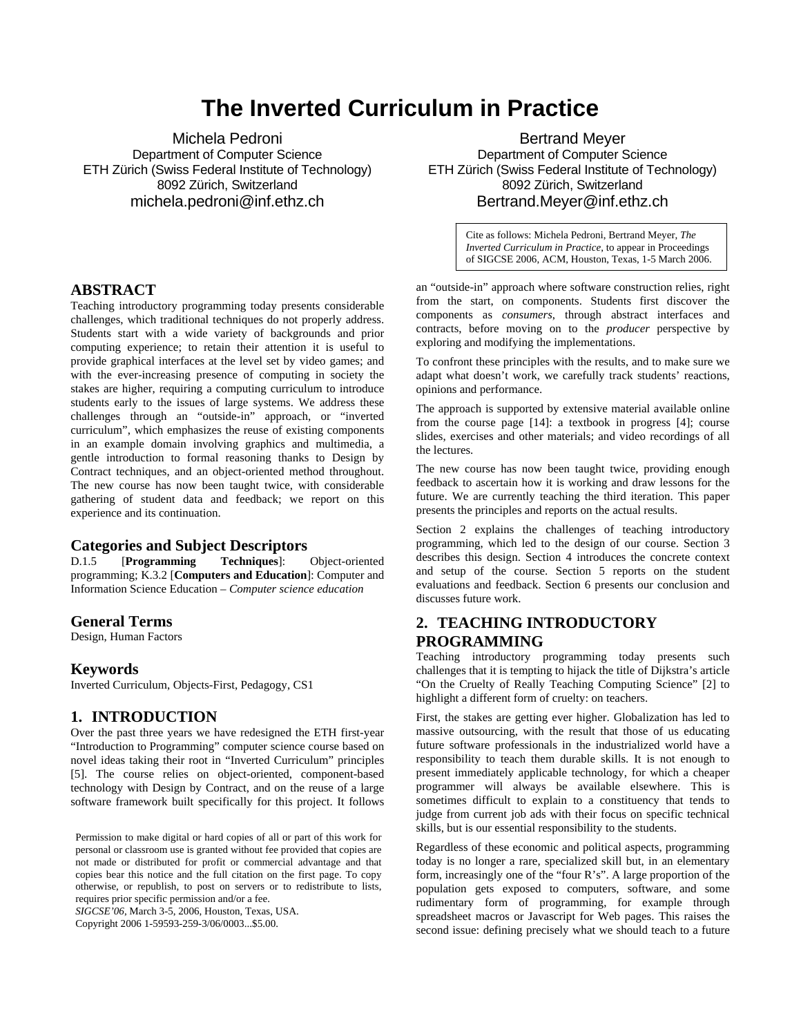## **The Inverted Curriculum in Practice**

Michela Pedroni Department of Computer Science ETH Zürich (Swiss Federal Institute of Technology) 8092 Zürich, Switzerland michela[.pedroni@inf.ethz.ch](mailto:pedroni@inf.ethz.ch) 

Bertrand Meyer Department of Computer Science ETH Zürich (Swiss Federal Institute of Technology) 8092 Zürich, Switzerland Bertrand.[Meyer@inf.ethz.ch](mailto:Meyer@inf.ethz.ch) 

> Cite as follows: Michela Pedroni, Bertrand Meyer, *The Inverted Curriculum in Practice*, to appear in Proceedings of SIGCSE 2006, ACM, Houston, Texas, 1-5 March 2006.

#### **ABSTRACT**

Teaching introductory programming today presents considerable challenges, which traditional techniques do not properly address. Students start with a wide variety of backgrounds and prior computing experience; to retain their attention it is useful to provide graphical interfaces at the level set by video games; and with the ever-increasing presence of computing in society the stakes are higher, requiring a computing curriculum to introduce students early to the issues of large systems. We address these challenges through an "outside-in" approach, or "inverted curriculum", which emphasizes the reuse of existing components in an example domain involving graphics and multimedia, a gentle introduction to formal reasoning thanks to Design by Contract techniques, and an object-oriented method throughout. The new course has now been taught twice, with considerable gathering of student data and feedback; we report on this experience and its continuation.

# **Categories and Subject Descriptors**<br>D.1.5 [Programming Techniques]:

[**Programming** Techniques]: Object-oriented programming; K.3.2 [**Computers and Education**]: Computer and Information Science Education – *Computer science education*

#### **General Terms**

Design, Human Factors

#### **Keywords**

Inverted Curriculum, Objects-First, Pedagogy, CS1

#### **1. INTRODUCTION**

Over the past three years we have redesigned the ETH first-year "Introduction to Programming" computer science course based on novel ideas taking their root in "Inverted Curriculum" principles [5]. The course relies on object-oriented, component-based technology with Design by Contract, and on the reuse of a large software framework built specifically for this project. It follows

*SIGCSE'06*, March 3-5, 2006, Houston, Texas, USA. Copyright 2006 1-59593-259-3/06/0003...\$5.00.

an "outside-in" approach where software construction relies, right from the start, on components. Students first discover the components as *consumers*, through abstract interfaces and contracts, before moving on to the *producer* perspective by exploring and modifying the implementations.

To confront these principles with the results, and to make sure we adapt what doesn't work, we carefully track students' reactions, opinions and performance.

The approach is supported by extensive material available online from the course page [14]: a textbook in progress [4]; course slides, exercises and other materials; and video recordings of all the lectures.

The new course has now been taught twice, providing enough feedback to ascertain how it is working and draw lessons for the future. We are currently teaching the third iteration. This paper presents the principles and reports on the actual results.

Section 2 explains the challenges of teaching introductory programming, which led to the design of our course. Section 3 describes this design. Section 4 introduces the concrete context and setup of the course. Section 5 reports on the student evaluations and feedback. Section 6 presents our conclusion and discusses future work.

## **2. TEACHING INTRODUCTORY PROGRAMMING**

Teaching introductory programming today presents such challenges that it is tempting to hijack the title of Dijkstra's article "On the Cruelty of Really Teaching Computing Science" [2] to highlight a different form of cruelty: on teachers.

First, the stakes are getting ever higher. Globalization has led to massive outsourcing, with the result that those of us educating future software professionals in the industrialized world have a responsibility to teach them durable skills. It is not enough to present immediately applicable technology, for which a cheaper programmer will always be available elsewhere. This is sometimes difficult to explain to a constituency that tends to judge from current job ads with their focus on specific technical skills, but is our essential responsibility to the students.

Regardless of these economic and political aspects, programming today is no longer a rare, specialized skill but, in an elementary form, increasingly one of the "four R's". A large proportion of the population gets exposed to computers, software, and some rudimentary form of programming, for example through spreadsheet macros or Javascript for Web pages. This raises the second issue: defining precisely what we should teach to a future

Permission to make digital or hard copies of all or part of this work for personal or classroom use is granted without fee provided that copies are not made or distributed for profit or commercial advantage and that copies bear this notice and the full citation on the first page. To copy otherwise, or republish, to post on servers or to redistribute to lists, requires prior specific permission and/or a fee.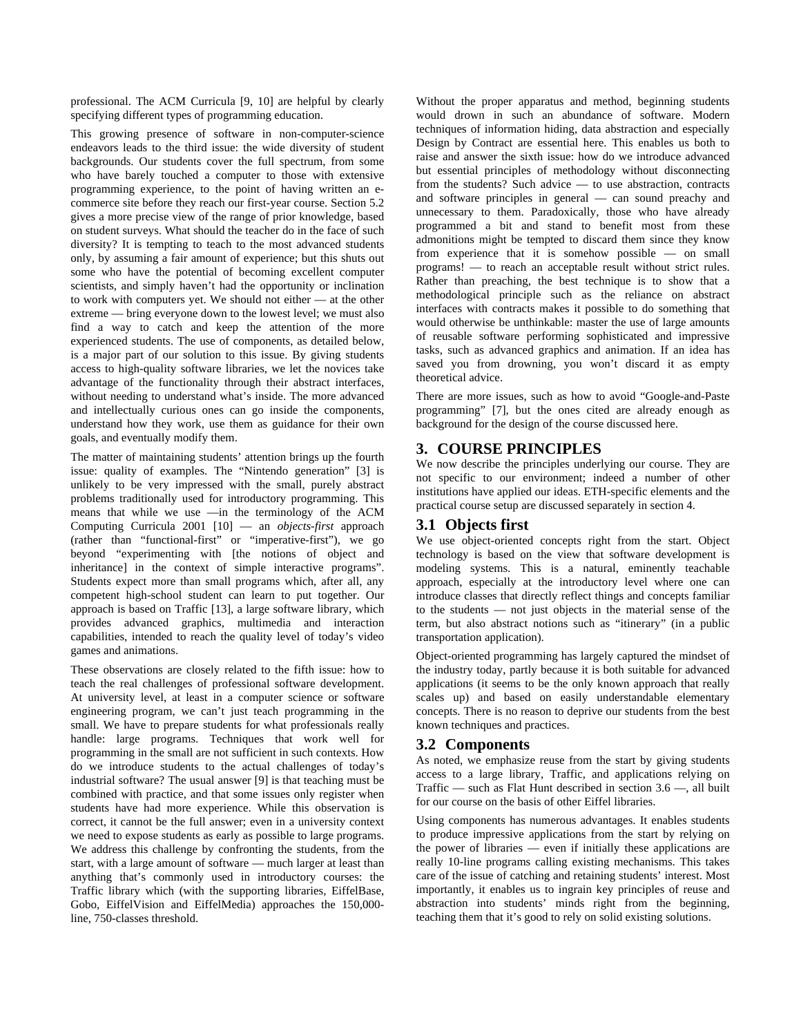professional. The ACM Curricula [9, 10] are helpful by clearly specifying different types of programming education.

This growing presence of software in non-computer-science endeavors leads to the third issue: the wide diversity of student backgrounds. Our students cover the full spectrum, from some who have barely touched a computer to those with extensive programming experience, to the point of having written an ecommerce site before they reach our first-year course. Section 5.2 gives a more precise view of the range of prior knowledge, based on student surveys. What should the teacher do in the face of such diversity? It is tempting to teach to the most advanced students only, by assuming a fair amount of experience; but this shuts out some who have the potential of becoming excellent computer scientists, and simply haven't had the opportunity or inclination to work with computers yet. We should not either — at the other extreme — bring everyone down to the lowest level; we must also find a way to catch and keep the attention of the more experienced students. The use of components, as detailed below, is a major part of our solution to this issue. By giving students access to high-quality software libraries, we let the novices take advantage of the functionality through their abstract interfaces, without needing to understand what's inside. The more advanced and intellectually curious ones can go inside the components, understand how they work, use them as guidance for their own goals, and eventually modify them.

The matter of maintaining students' attention brings up the fourth issue: quality of examples. The "Nintendo generation" [3] is unlikely to be very impressed with the small, purely abstract problems traditionally used for introductory programming. This means that while we use —in the terminology of the ACM Computing Curricula 2001 [10] — an *objects-first* approach (rather than "functional-first" or "imperative-first"), we go beyond "experimenting with [the notions of object and inheritance] in the context of simple interactive programs". Students expect more than small programs which, after all, any competent high-school student can learn to put together. Our approach is based on Traffic [13], a large software library, which provides advanced graphics, multimedia and interaction capabilities, intended to reach the quality level of today's video games and animations.

These observations are closely related to the fifth issue: how to teach the real challenges of professional software development. At university level, at least in a computer science or software engineering program, we can't just teach programming in the small. We have to prepare students for what professionals really handle: large programs. Techniques that work well for programming in the small are not sufficient in such contexts. How do we introduce students to the actual challenges of today's industrial software? The usual answer [9] is that teaching must be combined with practice, and that some issues only register when students have had more experience. While this observation is correct, it cannot be the full answer; even in a university context we need to expose students as early as possible to large programs. We address this challenge by confronting the students, from the start, with a large amount of software — much larger at least than anything that's commonly used in introductory courses: the Traffic library which (with the supporting libraries, EiffelBase, Gobo, EiffelVision and EiffelMedia) approaches the 150,000 line, 750-classes threshold.

Without the proper apparatus and method, beginning students would drown in such an abundance of software. Modern techniques of information hiding, data abstraction and especially Design by Contract are essential here. This enables us both to raise and answer the sixth issue: how do we introduce advanced but essential principles of methodology without disconnecting from the students? Such advice — to use abstraction, contracts and software principles in general — can sound preachy and unnecessary to them. Paradoxically, those who have already programmed a bit and stand to benefit most from these admonitions might be tempted to discard them since they know from experience that it is somehow possible — on small programs! — to reach an acceptable result without strict rules. Rather than preaching, the best technique is to show that a methodological principle such as the reliance on abstract interfaces with contracts makes it possible to do something that would otherwise be unthinkable: master the use of large amounts of reusable software performing sophisticated and impressive tasks, such as advanced graphics and animation. If an idea has saved you from drowning, you won't discard it as empty theoretical advice.

There are more issues, such as how to avoid "Google-and-Paste programming" [7], but the ones cited are already enough as background for the design of the course discussed here.

## **3. COURSE PRINCIPLES**

We now describe the principles underlying our course. They are not specific to our environment; indeed a number of other institutions have applied our ideas. ETH-specific elements and the practical course setup are discussed separately in section 4.

#### **3.1 Objects first**

We use object-oriented concepts right from the start. Object technology is based on the view that software development is modeling systems. This is a natural, eminently teachable approach, especially at the introductory level where one can introduce classes that directly reflect things and concepts familiar to the students — not just objects in the material sense of the term, but also abstract notions such as "itinerary" (in a public transportation application).

Object-oriented programming has largely captured the mindset of the industry today, partly because it is both suitable for advanced applications (it seems to be the only known approach that really scales up) and based on easily understandable elementary concepts. There is no reason to deprive our students from the best known techniques and practices.

## **3.2 Components**

As noted, we emphasize reuse from the start by giving students access to a large library, Traffic, and applications relying on Traffic — such as Flat Hunt described in section 3.6 —, all built for our course on the basis of other Eiffel libraries.

Using components has numerous advantages. It enables students to produce impressive applications from the start by relying on the power of libraries — even if initially these applications are really 10-line programs calling existing mechanisms. This takes care of the issue of catching and retaining students' interest. Most importantly, it enables us to ingrain key principles of reuse and abstraction into students' minds right from the beginning, teaching them that it's good to rely on solid existing solutions.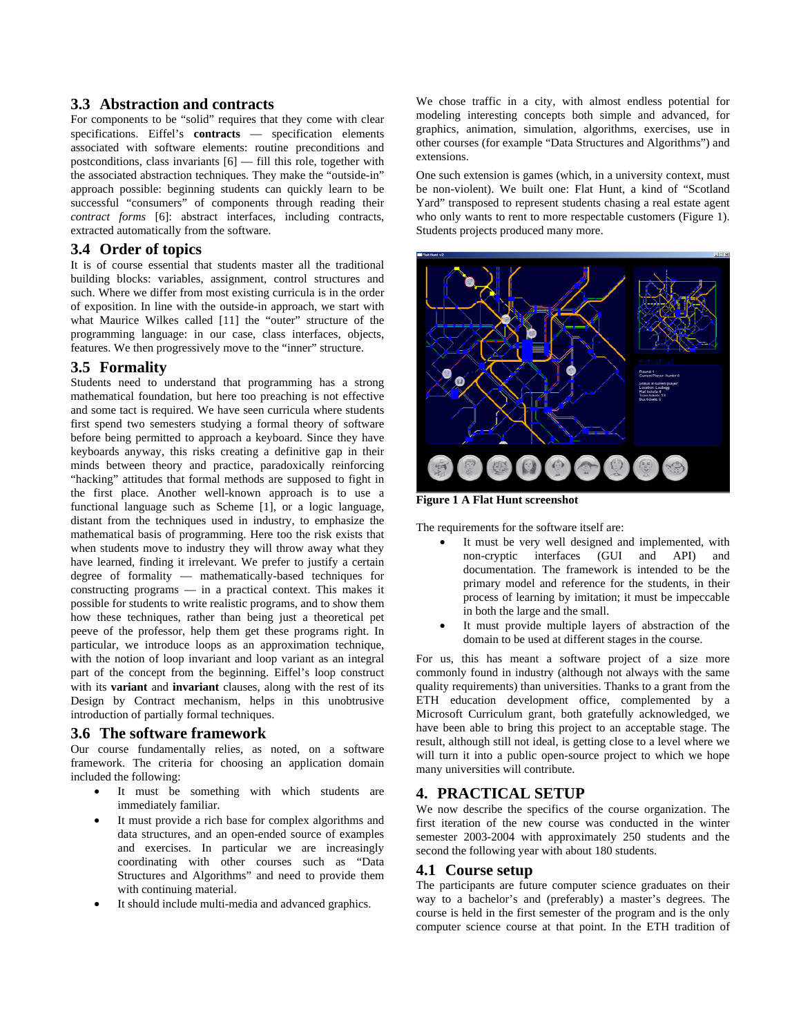#### **3.3 Abstraction and contracts**

For components to be "solid" requires that they come with clear specifications. Eiffel's **contracts** — specification elements associated with software elements: routine preconditions and postconditions, class invariants [6] — fill this role, together with the associated abstraction techniques. They make the "outside-in" approach possible: beginning students can quickly learn to be successful "consumers" of components through reading their *contract forms* [6]: abstract interfaces, including contracts, extracted automatically from the software.

### **3.4 Order of topics**

It is of course essential that students master all the traditional building blocks: variables, assignment, control structures and such. Where we differ from most existing curricula is in the order of exposition. In line with the outside-in approach, we start with what Maurice Wilkes called [11] the "outer" structure of the programming language: in our case, class interfaces, objects, features. We then progressively move to the "inner" structure.

#### **3.5 Formality**

Students need to understand that programming has a strong mathematical foundation, but here too preaching is not effective and some tact is required. We have seen curricula where students first spend two semesters studying a formal theory of software before being permitted to approach a keyboard. Since they have keyboards anyway, this risks creating a definitive gap in their minds between theory and practice, paradoxically reinforcing "hacking" attitudes that formal methods are supposed to fight in the first place. Another well-known approach is to use a functional language such as Scheme [1], or a logic language, distant from the techniques used in industry, to emphasize the mathematical basis of programming. Here too the risk exists that when students move to industry they will throw away what they have learned, finding it irrelevant. We prefer to justify a certain degree of formality — mathematically-based techniques for constructing programs — in a practical context. This makes it possible for students to write realistic programs, and to show them how these techniques, rather than being just a theoretical pet peeve of the professor, help them get these programs right. In particular, we introduce loops as an approximation technique, with the notion of loop invariant and loop variant as an integral part of the concept from the beginning. Eiffel's loop construct with its **variant** and **invariant** clauses, along with the rest of its Design by Contract mechanism, helps in this unobtrusive introduction of partially formal techniques.

#### **3.6 The software framework**

Our course fundamentally relies, as noted, on a software framework. The criteria for choosing an application domain included the following:

- It must be something with which students are immediately familiar.
- It must provide a rich base for complex algorithms and data structures, and an open-ended source of examples and exercises. In particular we are increasingly coordinating with other courses such as "Data Structures and Algorithms" and need to provide them with continuing material.
- It should include multi-media and advanced graphics.

We chose traffic in a city, with almost endless potential for modeling interesting concepts both simple and advanced, for graphics, animation, simulation, algorithms, exercises, use in other courses (for example "Data Structures and Algorithms") and extensions.

One such extension is games (which, in a university context, must be non-violent). We built one: Flat Hunt, a kind of "Scotland Yard" transposed to represent students chasing a real estate agent who only wants to rent to more respectable customers (Figure 1). Students projects produced many more.



**Figure 1 A Flat Hunt screenshot** 

The requirements for the software itself are:

- It must be very well designed and implemented, with<br>non-cryptic interfaces (GUI and API) and non-cryptic interfaces (GUI and API) and documentation. The framework is intended to be the primary model and reference for the students, in their process of learning by imitation; it must be impeccable in both the large and the small.
- It must provide multiple layers of abstraction of the domain to be used at different stages in the course.

For us, this has meant a software project of a size more commonly found in industry (although not always with the same quality requirements) than universities. Thanks to a grant from the ETH education development office, complemented by a Microsoft Curriculum grant, both gratefully acknowledged, we have been able to bring this project to an acceptable stage. The result, although still not ideal, is getting close to a level where we will turn it into a public open-source project to which we hope many universities will contribute.

#### **4. PRACTICAL SETUP**

We now describe the specifics of the course organization. The first iteration of the new course was conducted in the winter semester 2003-2004 with approximately 250 students and the second the following year with about 180 students.

#### **4.1 Course setup**

The participants are future computer science graduates on their way to a bachelor's and (preferably) a master's degrees. The course is held in the first semester of the program and is the only computer science course at that point. In the ETH tradition of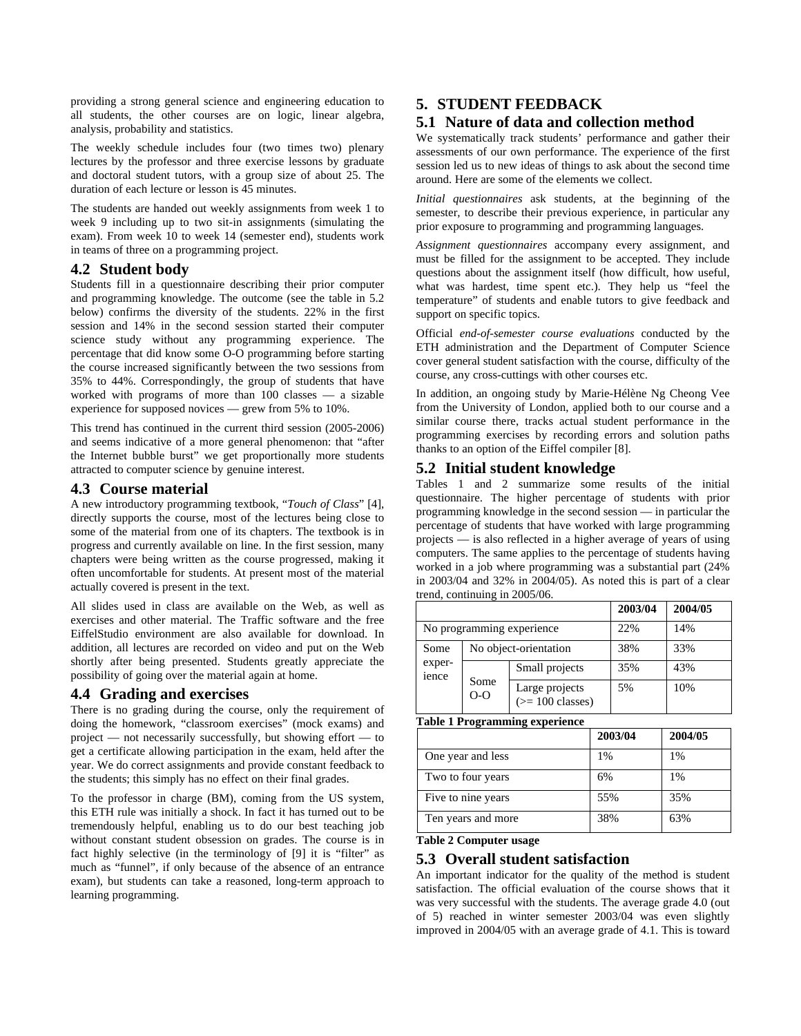providing a strong general science and engineering education to all students, the other courses are on logic, linear algebra, analysis, probability and statistics.

The weekly schedule includes four (two times two) plenary lectures by the professor and three exercise lessons by graduate and doctoral student tutors, with a group size of about 25. The duration of each lecture or lesson is 45 minutes.

The students are handed out weekly assignments from week 1 to week 9 including up to two sit-in assignments (simulating the exam). From week 10 to week 14 (semester end), students work in teams of three on a programming project.

#### **4.2 Student body**

Students fill in a questionnaire describing their prior computer and programming knowledge. The outcome (see the table in 5.2 below) confirms the diversity of the students. 22% in the first session and 14% in the second session started their computer science study without any programming experience. The percentage that did know some O-O programming before starting the course increased significantly between the two sessions from 35% to 44%. Correspondingly, the group of students that have worked with programs of more than 100 classes — a sizable experience for supposed novices — grew from 5% to 10%.

This trend has continued in the current third session (2005-2006) and seems indicative of a more general phenomenon: that "after the Internet bubble burst" we get proportionally more students attracted to computer science by genuine interest.

#### **4.3 Course material**

A new introductory programming textbook, "*Touch of Class*" [4], directly supports the course, most of the lectures being close to some of the material from one of its chapters. The textbook is in progress and currently available on line. In the first session, many chapters were being written as the course progressed, making it often uncomfortable for students. At present most of the material actually covered is present in the text.

All slides used in class are available on the Web, as well as exercises and other material. The Traffic software and the free EiffelStudio environment are also available for download. In addition, all lectures are recorded on video and put on the Web shortly after being presented. Students greatly appreciate the possibility of going over the material again at home.

#### **4.4 Grading and exercises**

There is no grading during the course, only the requirement of doing the homework, "classroom exercises" (mock exams) and project — not necessarily successfully, but showing effort — to get a certificate allowing participation in the exam, held after the year. We do correct assignments and provide constant feedback to the students; this simply has no effect on their final grades.

To the professor in charge (BM), coming from the US system, this ETH rule was initially a shock. In fact it has turned out to be tremendously helpful, enabling us to do our best teaching job without constant student obsession on grades. The course is in fact highly selective (in the terminology of [9] it is "filter" as much as "funnel", if only because of the absence of an entrance exam), but students can take a reasoned, long-term approach to learning programming.

## **5. STUDENT FEEDBACK**

#### **5.1 Nature of data and collection method**

We systematically track students' performance and gather their assessments of our own performance. The experience of the first session led us to new ideas of things to ask about the second time around. Here are some of the elements we collect.

*Initial questionnaires* ask students, at the beginning of the semester, to describe their previous experience, in particular any prior exposure to programming and programming languages.

*Assignment questionnaires* accompany every assignment, and must be filled for the assignment to be accepted. They include questions about the assignment itself (how difficult, how useful, what was hardest, time spent etc.). They help us "feel the temperature" of students and enable tutors to give feedback and support on specific topics.

Official *end-of-semester course evaluations* conducted by the ETH administration and the Department of Computer Science cover general student satisfaction with the course, difficulty of the course, any cross-cuttings with other courses etc.

In addition, an ongoing study by Marie-Hélène Ng Cheong Vee from the University of London, applied both to our course and a similar course there, tracks actual student performance in the programming exercises by recording errors and solution paths thanks to an option of the Eiffel compiler [8].

#### **5.2 Initial student knowledge**

Tables 1 and 2 summarize some results of the initial questionnaire. The higher percentage of students with prior programming knowledge in the second session — in particular the percentage of students that have worked with large programming projects — is also reflected in a higher average of years of using computers. The same applies to the percentage of students having worked in a job where programming was a substantial part (24% in 2003/04 and 32% in 2004/05). As noted this is part of a clear trend, continuing in 2005/06.

|                            |                       |                                              | 2003/04 | 2004/05 |
|----------------------------|-----------------------|----------------------------------------------|---------|---------|
| No programming experience. |                       |                                              | 22%     | 14%     |
| Some<br>exper-<br>ience    | No object-orientation |                                              | 38%     | 33%     |
|                            | Some<br>$O-O$         | Small projects                               | 35%     | 43%     |
|                            |                       | Large projects<br>$(>= 100 \text{ classes})$ | 5%      | 10%     |

**Table 1 Programming experience** 

|                    | 2003/04 | 2004/05 |
|--------------------|---------|---------|
| One year and less  | 1%      | 1%      |
| Two to four years  | 6%      | 1%      |
| Five to nine years | 55%     | 35%     |
| Ten years and more | 38%     | 63%     |

#### **Table 2 Computer usage**

#### **5.3 Overall student satisfaction**

An important indicator for the quality of the method is student satisfaction. The official evaluation of the course shows that it was very successful with the students. The average grade 4.0 (out of 5) reached in winter semester 2003/04 was even slightly improved in 2004/05 with an average grade of 4.1. This is toward